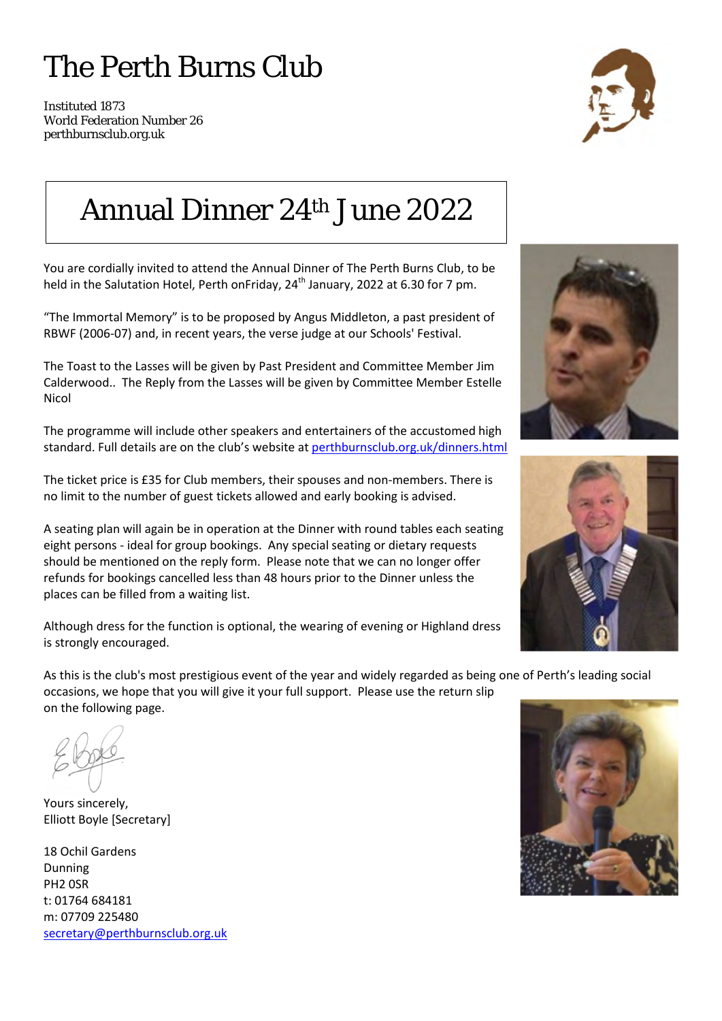## The Perth Burns Club

Instituted 1873 World Federation Number 26 perthburnsclub.org.uk



#### Annual Dinner 24th June 2022

You are cordially invited to attend the Annual Dinner of The Perth Burns Club, to be held in the Salutation Hotel, Perth onFriday,  $24<sup>th</sup>$  January, 2022 at 6.30 for 7 pm.

"The Immortal Memory" is to be proposed by Angus Middleton, a past president of RBWF (2006-07) and, in recent years, the verse judge at our Schools' Festival.

The Toast to the Lasses will be given by Past President and Committee Member Jim Calderwood.. The Reply from the Lasses will be given by Committee Member Estelle Nicol

The programme will include other speakers and entertainers of the accustomed high standard. Full details are on the club's website at [perthburnsclub.org.uk/dinners.html](http://www.perthburnsclub.org.uk/dinners.html) 

The ticket price is £35 for Club members, their spouses and non-members. There is no limit to the number of guest tickets allowed and early booking is advised.

A seating plan will again be in operation at the Dinner with round tables each seating eight persons - ideal for group bookings. Any special seating or dietary requests should be mentioned on the reply form. Please note that we can no longer offer refunds for bookings cancelled less than 48 hours prior to the Dinner unless the places can be filled from a waiting list.

Although dress for the function is optional, the wearing of evening or Highland dress is strongly encouraged.

As this is the club's most prestigious event of the year and widely regarded as being one of Perth's leading social occasions, we hope that you will give it your full support. Please use the return slip on the following page.

Yours sincerely, Elliott Boyle [Secretary]

18 Ochil Gardens Dunning PH2 0SR t: 01764 684181 m: 07709 225480 [secretary@perthburnsclub.org.uk](mailto:secretary@perthburnsclub.org.uk)